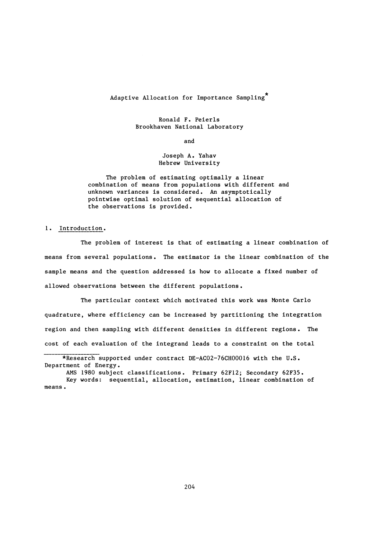# **Adaptive Allocation for Importance Sampling**

#### **Ronald F. Peierls Brookhaven National Laboratory**

**and**

#### **Joseph A. Yahav Hebrew University**

**The problem of estimating optimally a linear combination of means from populations with different and unknown variances is considered. An asymptotically pointwise optimal solution of sequential allocation of the observations is provided.**

### **1. Introduction.**

**The problem of interest is that of estimating a linear combination of means from several populations. The estimator is the linear combination of the sample means and the question addressed is how to allocate a fixed number of allowed observations between the different populations.**

**The particular context which motivated this work was Monte Carlo quadrature, where efficiency can be increased by partitioning the integration region and then sampling with different densities in different regions. The cost of each evaluation of the integrand leads to a constraint on the total**

**<sup>\*</sup>Research supported under contract DE-AC02-76CH00016 with the U.S. Department of Energy.**

**AMS 1980 subject classifications. Primary 62F12; Secondary 62F35. Key words: sequential, allocation, estimation, linear combination of means**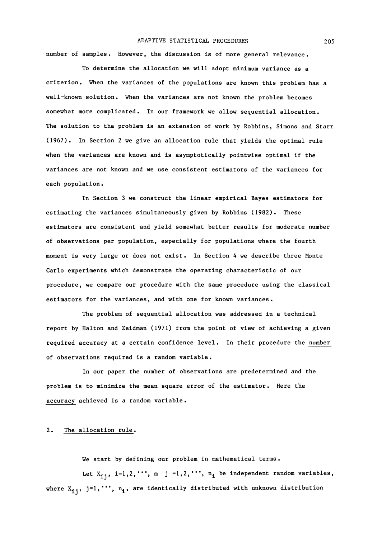### **ADAPTIVE STATISTICAL PROCEDURES 205**

**number of samples. However, the discussion is of more general relevance.**

**To determine the allocation we will adopt minimum variance as a criterion. When the variances of the populations are known this problem has a well-known solution. When the variances are not known the problem becomes somewhat more complicated. In our framework we allow sequential allocation. The solution to the problem is an extension of work by Robbins, Simons and Starr (1967). In Section 2 we give an allocation rule that yields the optimal rule when the variances are known and is asymptotically pointwise optimal if the variances are not known and we use consistent estimators of the variances for each population.**

**In Section 3 we construct the linear empirical Bayes estimators for estimating the variances simultaneously given by Robbins (1982). These estimators are consistent and yield somewhat better results for moderate number of observations per population, especially for populations where the fourth moment is very large or does not exist. In Section 4 we describe three Monte Carlo experiments which demonstrate the operating characteristic of our procedure, we compare our procedure with the same procedure using the classical estimators for the variances, and with one for known variances.**

**The problem of sequential allocation was addressed in a technical report by Halton and Zeidman (1971) from the point of view of achieving a given required accuracy at a certain confidence level In their procedure the number of observations required is a random variable**

**In our paper the number of observations are predetermined and the problem is to minimize the mean square error of the estimator. Here the accuracy achieved is a random variable**

### **2. The allocation rule.**

**We start by defining our problem in mathematical terms .**

Let  $X_{i,i}$ ,  $i=1,2,\dots, m$  j =1,2,  $\cdots$ ,  $n_i$  be independent random variables, where  $X_{i,j}$ , j=1, \*\*\*,  $n_i$ , are identically distributed with unknown distribution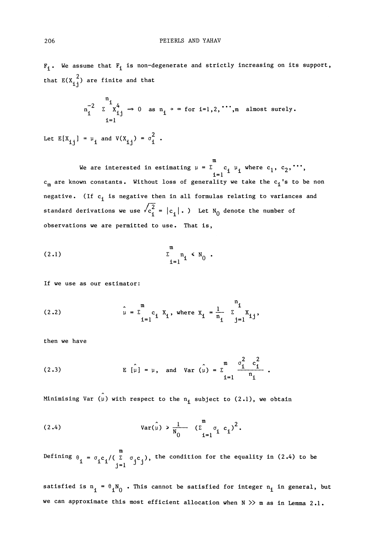**F<sup>i</sup> . We assume that Fi is non-degenerate and strictly increasing on its support,** that  $E(X_{i,j}^{2})$  are finite and that

$$
n_{i}^{-2} \sum_{i=1}^{n_{i}} x_{i,j}^{4} \rightarrow 0 \text{ as } n_{i} \rightarrow \infty \text{ for } i=1,2,\dots, m \text{ almost surely.}
$$

Let  $E[X_{i,j}] = \mu_i$  and  $V(X_{i,j}) = \sigma_i^2$ .

**m** We are interested in estimating  $\mu = \sum c_i \mu_i$  where  $c_1, c_2, \cdots$ **cm are known constants. Without loss of generality we take the c^<sup>f</sup> s to be non negative. (If c^ is negative then in all formulas relating to variances and** standard derivations we use  $\sqrt{c_1^2} = |c_1|$ . ) Let N<sub>0</sub> denote the number of **observations we are permitted to use. That is,**

$$
\sum_{i=1}^{m} n_i \leq N_0.
$$

**If we use as our estimator:**

(2.2) 
$$
\hat{\mu} = \sum_{i=1}^{m} c_i X_i
$$
, where  $X_i = \frac{1}{n_i} \sum_{j=1}^{n_i} X_{ij}$ 

**then we have**

(2.3) 
$$
E[\hat{\mu}] = \mu
$$
, and  $Var(\hat{\mu}) = \sum_{i=1}^{m} \frac{\sigma_i^2 c_i^2}{n_i}$ .

Minimising Var  $(\hat{\mu})$  with respect to the  $n_i$  subject to  $(2.1)$ , we obtain

(2.4) 
$$
Var(\hat{\mu}) > \frac{1}{N_0} (\sum_{i=1}^{m} \sigma_i c_i)^2.
$$

**m Defining**  $θ$ , =  $σ$ ,c./( Σ  $σ$ ,c.), the condition for the equality in (2.4) to b

satisfied is  $n_i = \theta_i N_0$ . This cannot be satisfied for integer  $n_i$  in general, but **we can approximate this most efficient allocation when N » m as in Lemma 2.1.**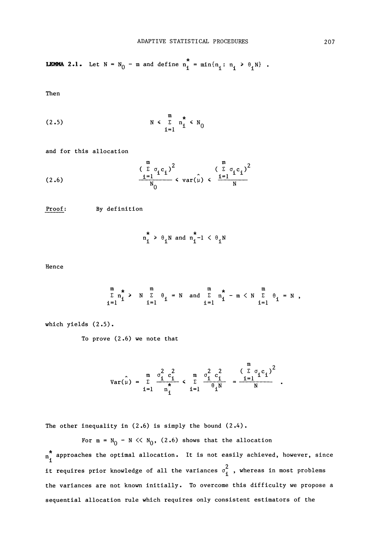**LEMMA 2.1.** Let  $N = N_0 - m$  and define  $n_i^* = min\{n_i : n_i \ge \theta_iN\}$ .

Then

$$
\begin{array}{cccc}\n\text{(2.5)} & \text{N} < \sum_{i=1}^{m} n_i^* < N_0\n\end{array}
$$

and for this allocation

(2.6) 
$$
\frac{\left(\sum_{i=1}^{m} \sigma_{i} c_{i}\right)^{2}}{\frac{1}{N_{0}}} < \text{var}(\hat{\mu}) < \frac{\left(\sum_{i=1}^{m} \sigma_{i} c_{i}\right)^{2}}{N}
$$

Proof: By definition

$$
n_i^* \geq \theta_i N \text{ and } n_i^* - 1 < \theta_i N
$$

Hence

$$
\begin{array}{ccccccccc}\nm & \star & & m & & m & & m\\
\hline\n\end{array}\n\rightarrow N \begin{array}{cccccc}\n\text{m} & & & m & & \star & & m\\
\hline\n\end{array}\n\leftarrow n \quad \text{and} \quad\n\begin{array}{cccccc}\n\text{m} & \star & & m & & m\\
\hline\n\end{array}\n\leftarrow n \quad \text{and} \quad\n\begin{array}{cccccc}\n\text{m} & & & m & & m\\
\hline\n\end{array}\n\leftarrow n \quad \text{and} \quad\n\begin{array}{cccccc}\n\text{m} & & & m & & m\\
\hline\n\end{array}\n\leftarrow n \quad \text{and} \quad\n\begin{array}{cccccc}\n\text{m} & & & m & & m\\
\hline\n\end{array}\n\leftarrow n \quad \text{and} \quad\n\begin{array}{cccccc}\n\text{m} & & & m & & m\\
\hline\n\end{array}\n\leftarrow n \quad \text{and} \quad\n\begin{array}{cccccc}\n\text{m} & & & m & & m\\
\hline\n\end{array}\n\leftarrow n \quad \text{and} \quad\n\begin{array}{cccccc}\n\text{m} & & & m & & m\\
\hline\n\end{array}\n\leftarrow n \quad \text{and} \quad\n\begin{array}{cccccc}\n\text{m} & & & m & & m\\
\hline\n\end{array}\n\leftarrow n \quad \text{and} \quad\n\begin{array}{cccccc}\n\text{m} & & & m & & m\\
\hline\n\end{array}\n\leftarrow n \quad \text{and} \quad\n\begin{array}{cccccc}\n\text{m} & & & m & & m\\
\hline\n\end{array}\n\leftarrow n \quad \text{and} \quad\n\begin{array}{cccccc}\n\text{m} & & & m & & m\\
\hline\n\end{array}\n\leftarrow n \quad \text{and} \quad\n\begin{array}{cccccc}\n\text{m} & & & m & & m\\
\hline\n\end{array}\n\leftarrow n \quad \text{and} \quad\n\begin{array}{cccccc}\n\text{m} & & & m & & m\\
\hline\n\end{array}\n\leftarrow n \quad \text{and} \quad\n\begin{array}{cccccc}\n\text{m} & & & m & & m\\
\hline\n\end{array}\n\leftarrow n \quad \text{and} \quad\n\begin{array}{cccccc}\n\text{
$$

which yields (2.5).

To prove (2.6) we note that

$$
Var(\hat{\mu}) = \sum_{i=1}^{m} \frac{\sigma_i^2 c_i^2}{n_i} \leftarrow \sum_{i=1}^{m} \frac{\sigma_i^2 c_i^2}{\theta_i^N} = \frac{(\sum_{i=1}^{m} \sigma_i c_i)^2}{N}
$$

The other inequality in  $(2.6)$  is simply the bound  $(2.4)$ .

For  $m = N_0 - N \ll N_0$ , (2.6) shows that the allocation  $n_i^*$  approaches the optimal allocation. It is not easily achieved, however, since it requires prior knowledge of all the variances  $\sigma_\star^2$  , whereas in most problems the variances are not known initially. To overcome this difficulty we propose a sequential allocation rule which requires only consistent estimators of the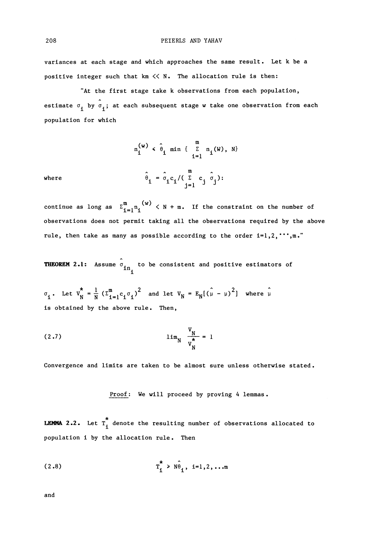variances at each stage and which approaches the same result. Let k be a positive integer such that  $km \ll N$ . The allocation rule is then:

"At the first stage take k observations from each population, estimate  $\sigma_i$  by  $\sigma_i$ ; at each subsequent stage w take one observation from each population for which

where 
$$
n_i^{(w)} < \hat{\theta}_1 \min \left\{ \sum_{i=1}^m n_i(W), N \right\}
$$

$$
\hat{\theta}_i = \hat{\sigma}_i c_i / (\sum_{j=1}^m c_j \hat{\sigma}_j).
$$

continue as long as  $\sum_{i=1}^m$   $\binom{w}{i}$   $\leq$  N + m. If the constraint on the number of observations does not permit taking all the observations required by the above rule, then take as many as possible according to the order  $i=1,2, \cdots, m$ .

**THEOREM 2.1:** Assume  $\hat{\sigma}_{in_{\mathcal{A}}}$  to be consistent and positive estimators of

*i*. Let  $V_N = \frac{1}{N} ( \Sigma_{i=1}^m c_i \sigma_i )^2$  and let  $V_N = E_N [ ( \mu - \mu )^2 ]$  w is obtained by the above rule. Then,

$$
(2.7) \qquad \qquad \lim_{N} \frac{v_N}{v_N^*} = 1
$$

Convergence and limits are taken to be almost sure unless otherwise stated.

Proof: We will proceed by proving 4 lemmas.

*is* **LEMMA** 2.2. Let T. denote the resulting number of observations and observations allocated to observations allocated to the resulting number of observations allocated to the resulting number of observations allocated to th population i by the allocation rule. Then

(2.8) 
$$
T_{i}^{*} > N \hat{\theta}_{i}, i=1,2,...m
$$

and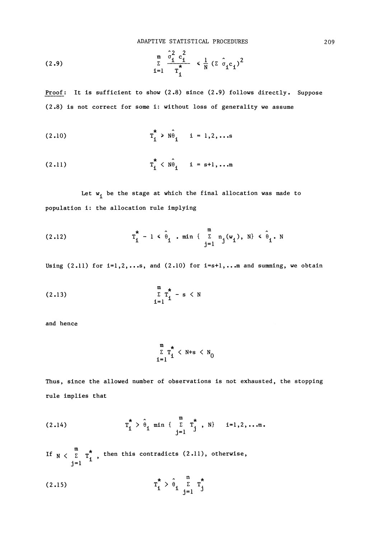**ADAPTIVE STATISTICAL PROCEDURES 209**

(2.9) 
$$
\sum_{\sum_{i=1}^{n} \pi_i}^{\frac{\hat{\sigma}_1^2}{\hat{r}_i} c_i^2} \langle \frac{1}{N} (\Sigma \hat{\sigma}_i c_i)^2 \rangle
$$

Proof: It is sufficient to show (2.8) since (2.9) follows directly. Suppose **(2.8) is not correct for some i: without loss of generality we assume**

(2.10) 
$$
T_{i}^{*} > N \hat{\theta}_{i} \quad i = 1, 2, ...
$$

(2.11) 
$$
T_1^* \langle N \hat{\theta}_1 \quad i = s+1, ...
$$

Let  $w_i$  be the stage at which the final allocation was made to **population i: the allocation rule implying**

(2.12) 
$$
T_{i}^{*} - 1 \leq \hat{\theta}_{i} \text{ min } \{\sum_{j=1}^{m} n_{j}(w_{i}), N\} \leq \hat{\theta}_{i}. N
$$

**Using (2.11) for i=l,2,.. s, and (2.10) for i=s+l,...m and summing, we obtain**

$$
\begin{array}{c}\n\text{m} \\
\sum_{i=1}^{m} \tau_i^* - s < N\n\end{array}
$$

**and hence**

$$
\sum_{i=1}^{m} T_i^* < N+s < N_0
$$

**Thus, since the allowed number of observations is not exhausted, the stopping rule implies that**

(2.14) 
$$
T_{i}^{*} > \hat{\theta}_{i} \min \{ \sum_{j=1}^{m} T_{j}^{*}, N \} \ i=1,2,...m.
$$

If  $N \lt \overline{N}$   $T^*$  then this contradicts (2.11), otherwise, **j**=1  $\bar{ }$ 

(2.15) 
$$
T_{i}^{*} > \hat{\theta}_{i} \sum_{j=1}^{n} T_{j}^{*}
$$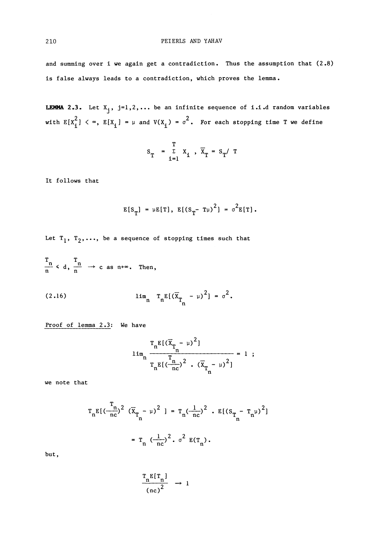and summing over i we again get a contradiction. Thus the assumption that  $(2.8)$ is false always leads to a contradiction, which proves the lemma.

**LEMMA 2.3.** Let  $X_j$ ,  $j=1,2,...$  be an infinite sequence of i.i.d random variables  $2^{2}$ with  $E[X_i] \times S$ ,  $E[X_i] = \mu$  and  $V(X_i) = \sigma$ . For each stopping time T we define

$$
S_T = \sum_{i=1}^T X_i, \overline{X}_T = S_T / T
$$

It follows that

$$
E[S_T] = \mu E[T], E[(S_T - T\mu)^2] = \sigma^2 E[T].
$$

Let  $T_1$ ,  $T_2$ ,..., be a sequence of stopping times such that

 $\frac{1}{n}$   $\leq d$ ,  $\frac{1}{n}$   $\rightarrow$  c as n+ $\infty$ . Then,

(2.16) 
$$
\lim_{n} T_{n} E[(\overline{X}_{T_{n}} - \mu)^{2}] = \sigma^{2}.
$$

Proof of lemma 2.3: We have

$$
\lim_{n \to \infty} \frac{\frac{T_n E[(\bar{x}_{T_n} - \mu)^2]}{T_n}}{\frac{T_n E[(\frac{n}{nc})^2 \cdot (\bar{x}_{T_n} - \mu)^2]} = 1 ;
$$

we note that

$$
T_{n}E[(\frac{T_{n}}{nc})^{2} (\overline{X}_{T_{n}} - \mu)^{2}] = T_{n}(\frac{1}{nc})^{2} \cdot E[(S_{T_{n}} - T_{n}\mu)^{2}]
$$

$$
= T_{n} (\frac{1}{nc})^{2} \cdot \sigma^{2} E(T_{n}).
$$

but,

$$
\frac{T_n E[T_n]}{(nc)^2} \rightarrow 1
$$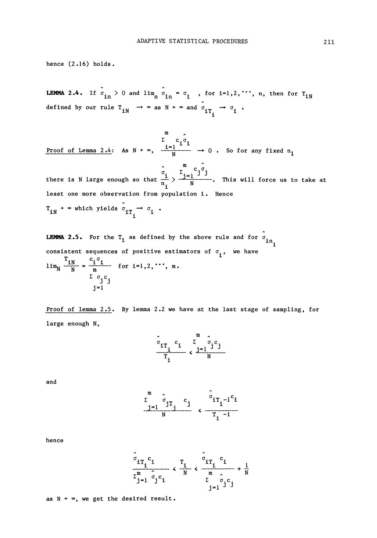hence  $(2.16)$  holds.

**LEMMA 2.4.** If  $\hat{\sigma}_{in} > 0$  and  $\lim_{n} \hat{\sigma}_{in} = \sigma_i$ , for  $i=1,2,\dots, n$ , then for  $T_{in}$ defined by our rule  $T_{iN} \rightarrow \infty$  as  $N \rightarrow \infty$  and  $\hat{\sigma}_{iT_{i}} \rightarrow \sigma_{i}$ .

 $c, \sigma$ Proof of Lemma 2.4: As  $N \rightarrow \infty$ ,  $\frac{1=1}{N}$   $\rightarrow$  0. So for any fixed  $n_i$ 

m there is N large enough so that  $\frac{1}{n}$  >  $\frac{1}{n}$   $\frac{1}{n}$  . This will force us to take at least one more observation from population i. Hence  $T_{IN}$   $\rightarrow$   $\infty$  which yields  $\sigma_{IT}$   $\rightarrow$ 

**LEMMA 2.5.** For the T<sub>1</sub> as defined by the above rule and for  $\hat{\sigma}_{in}$ consistent sequences of positive estimators of  $\sigma$  , we have  $\lim_{N \to \infty}$   $-\frac{N}{N}$  =  $-\frac{N}{N}$  for i=1,2, •••, m. **i " N m**

Proof of lemma 2.5. By lemma 2.2 we have at the last stage of sampling, for large enough N,

$$
\frac{\hat{\sigma}_{1T_1} c_1}{T_1} \times \frac{\sum_{j=1}^{m} \hat{\sigma}_j c_j}{N}
$$

and

$$
\frac{\sum_{j=1}^{m} \hat{\sigma}_{j} r_{j} c_{j}}{N} \leftarrow \frac{\hat{\sigma}_{i r_{1} - 1} c_{i}}{r_{i} - 1}
$$

hence

$$
\frac{\sigma_{iT_i}c_i}{\sum_{j=1}^m \sigma_j c_i} < \frac{T_i}{N} < \frac{\sigma_{iT_i}c_i}{\sum_{j=1}^m \sigma_j c_j} + \frac{1}{N}
$$

as  $N + \infty$ , we get the desired result.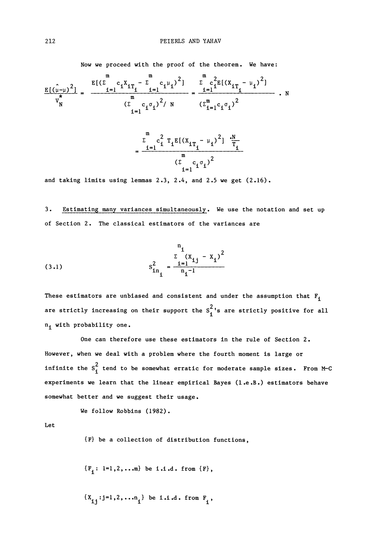**Now we proceed with the proof of the theorem. We have:**

$$
\frac{E[(\hat{u}-\mu)^{2}]}{v_{N}^{*}} = \frac{\frac{E[(\sum_{i=1}^{m} c_{i}X_{iT_{i}} - \sum_{i=1}^{m} c_{i}\mu_{i})^{2}]}{m} - \frac{\sum_{i=1}^{m} c_{i}^{2}E[(X_{iT_{i}} - \mu_{i})^{2}]}{(X_{i=1}^{m}c_{i}\sigma_{i})^{2}}}{(\sum_{i=1}^{m} c_{i}\sigma_{i})^{2}/N} \quad \frac{(\sum_{i=1}^{m} c_{i}\sigma_{i})^{2}}{(\sum_{i=1}^{m} c_{i}\sigma_{i})^{2}} - \frac{\sum_{i=1}^{m} c_{i}^{2}T_{i}E[(X_{iT_{i}} - \mu_{i})^{2}] \cdot \frac{N}{T_{i}}}{(\sum_{i=1}^{m} c_{i}\sigma_{i})^{2}}
$$

**and taking limits using lemmas 2.3, 2.4, and 2.5 we get (2.16).**

**3. Estimating many variances simultaneously. We use the notation and set up of Section 2. The classical estimators of the variances are**

(3.1) 
$$
s_{in_{i}}^{2} = \frac{\sum_{i=1}^{n} (x_{i,j} - x_{i})^{2}}{n_{i} - 1}
$$

**These estimators are unbiased and consistent and under the assumption that F. 2 are strictly increasing on their support the S<sup>f</sup> s are strictly positive for all n.^ with probability one.**

**One can therefore use these estimators in the rule of Section 2 However, when we deal with a problem where the fourth moment is large or infinite the**  $S_i^2$  **tend to be somewhat erratic for moderate sample sizes. From M-C experiments we learn that the linear empirical Bayes (l.e.B.) estimators behave somewhat better and we suggest their usage.**

**We follow Robbins (1982).**

**Let**

**{F} be a collection of distribution functions,**

$$
\{F_i: \; i=1,2,...m\} \; \text{ be } i.i.d. \; from \; \{F\},
$$

 $\{X_{i,j}: j=1,2,...,n, j\}$  be i.i.d. from  $F_{i,j}$ ,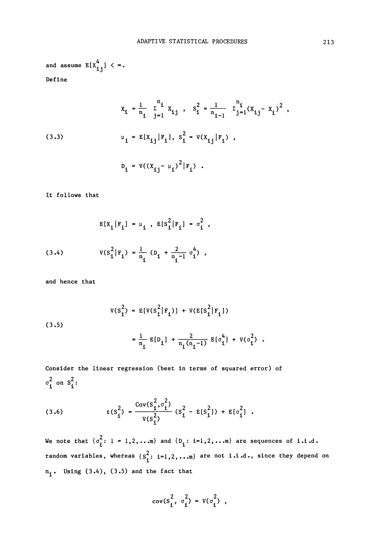and assume 
$$
E[X_{ij}^4] < \infty
$$
.  
\nDefine

(3.3)  

$$
x_{i} = \frac{1}{n_{i}} \sum_{j=1}^{n_{i}} x_{ij}, \quad s_{i}^{2} = \frac{1}{n_{i-1}} \sum_{j=1}^{n_{i}} (x_{ij} - x_{i})^{2},
$$

$$
u_{i} = E[x_{i,j} | F_{i}], \quad s_{i}^{2} = V(x_{i,j} | F_{i}),
$$

$$
D_{i} = V((x_{i,j} - \mu_{i})^{2} | F_{i}).
$$

**It follows that**

$$
E[X_{i} | F_{i}] = \mu_{i} , E[S_{i}^{2} | F_{i}] = \sigma_{i}^{2} ,
$$
  
(3.4) 
$$
V(S_{i}^{2} | F_{i}) = \frac{1}{n_{i}} (D_{i} + \frac{2}{n_{i} - 1} \sigma_{i}^{4}) ,
$$

**and hence that**

(3.5)  

$$
V(S_1^2) = E[V(S_1^2 | F_1)] + V(E[S_1^2 | F_1])
$$

$$
= \frac{1}{n_1} E[D_1] + \frac{2}{n_1(n_1 - 1)} E[\sigma_1^4] + V(\sigma_1^2)
$$

**Consider the linear regression (best in terms of squared error) of**  $\frac{2}{4}$  on  $S^2$ :

(3.6) 
$$
t(s_1^2) = \frac{\text{Cov}(s_1^2, \sigma_1^2)}{v(s_1^2)} (s_1^2 - E[s_1^2]) + E[\sigma_1^2].
$$

We note that  $\{\sigma_i^2: 1 = 1, 2, ...$  and  $\{D_i: i=1, 2, ...$  are sequences of i.i.d.  ${\bf r}$  andom variables, whereas  $\{ {\bf s}^2_{\cdot} : \; {\bf i} = {\bf l}$  ,  $2, \ldots$  are not  ${\bf i}$  .i. d., since they depend o **n <sup>i</sup> # Using (3.4), (3.5) and the fact that**

$$
cov(s_1^2, \sigma_1^2) = V(\sigma_1^2)
$$
,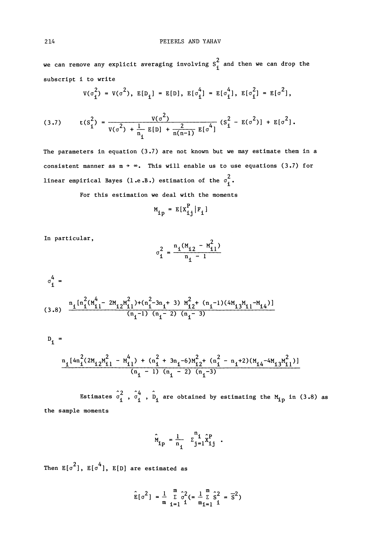we can remove any explicit averaging involving  $s_1^2$  and then we can drop the **subscript i to write**

$$
V(\sigma_i^2) = V(\sigma^2), E[D_i] = E[D], E[\sigma_i^4] = E[\sigma_i^4], E[\sigma_i^2] = E[\sigma^2],
$$

(3.7) 
$$
t(S_1^2) = \frac{v(\sigma^2)}{v(\sigma^2) + \frac{1}{n_1} E[D] + \frac{2}{n(n-1)} E[\sigma^4]} (S_1^2 - E(\sigma^2)) + E[\sigma^2].
$$

**The parameters in equation (3.7) are not known but we may estimate them in a** consistent manner as  $m \rightarrow \infty$ . This will enable us to use equations (3.7) for **linear empirical Bayes (l.e.B.) estimation of the σ** $_{\textbf{\textit{i}}}^2$ **.** 

**For this estimation we deal with the moments**

$$
M_{ip} = E[X_{ij}^P | F_i]
$$

**In particular,**

$$
\sigma_1^2 = \frac{n_1(M_{12} - M_{11}^2)}{n_1 - 1}
$$

$$
\sigma_1^4 =
$$
\n(3.8) 
$$
\frac{n_1 [n_1^2(M_{11}^4 - 2M_{12}M_{11}^2) + (n_1^2 - 3n_1 + 3) M_{12}^2 + (n_1 - 1)(4M_{13}M_{11} - M_{14})]}{(n_1 - 1) (n_1 - 2) (n_1 - 3)}
$$

$$
D_{i} =
$$

$$
\frac{\mathbf{n}_{i}[4\mathbf{n}_{i}^{2}(2M_{12}\mathbf{M}_{11}^{2}-\mathbf{M}_{11}^{4}) + (\mathbf{n}_{i}^{2}+3\mathbf{n}_{i}-6)\mathbf{M}_{12}^{2}+(\mathbf{n}_{i}^{2}-\mathbf{n}_{i}+2)(M_{14}-4M_{13}\mathbf{M}_{11}^{2})]}{(\mathbf{n}_{i}-1)(\mathbf{n}_{i}-2)(\mathbf{n}_{i}-3)}
$$

**Estimates**  $\hat{\sigma}_i^2$ ,  $\hat{\sigma}_i^4$ ,  $\hat{D}_i$  are obtained by estimating the M<sub>in</sub> in (3.8) as **the sample moments**

$$
\hat{M}_{ip} = \frac{1}{n_i} \quad \Sigma_{j=1}^{n_i} \hat{X}_{ij}^P
$$

Then  $\texttt{E}[\sigma^2]$ ,  $\texttt{E}[\sigma^4]$ ,  $\texttt{E}[{\tt D}]$  are estimated as

$$
\hat{E}[\sigma^2] = \frac{1}{m} \sum_{i=1}^{m} \hat{\sigma}^2 = \frac{1}{m} \sum_{i=1}^{m} \hat{s}^2 = \overline{s}^2)
$$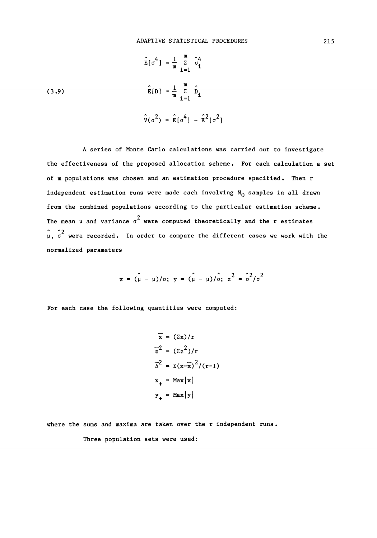(3.9)  
\n
$$
\hat{E}[\sigma^{4}] = \frac{1}{m} \sum_{i=1}^{m} \hat{\sigma}_{i}^{4}
$$
\n
$$
\hat{E}[D] = \frac{1}{m} \sum_{i=1}^{m} \hat{D}_{i}
$$
\n
$$
\hat{V}(\sigma^{2}) = \hat{E}[\sigma^{4}] - \hat{E}^{2}[\sigma^{2}]
$$

**A series of Monte Carlo calculations was carried out to investigate the effectiveness of the proposed allocation scheme. For each calculation a set of m populations was chosen and an estimation procedure specified. Then r** independent estimation runs were made each involving N<sub>O</sub> samples in all drawn **from the combined populations according to the particular estimation scheme The mean μ and variance**  $\sigma^2$  **were computed theoretically and the r estimates**  $\hat{\mu}$ ,  $\hat{\sigma}^2$  were recorded. In order to compare the different cases we work with the **normalized parameters**

$$
x = (\mu - \mu)/\sigma
$$
;  $y = (\mu - \mu)/\hat{\sigma}$ ;  $z^2 = \hat{\sigma}^2/\sigma^2$ 

**For each case the following quantities were computed:**

$$
\overline{x} = (\Sigma x)/r
$$
  
\n
$$
\overline{z}^2 = (\Sigma z^2)/r
$$
  
\n
$$
\overline{\Delta}^2 = \Sigma (x-\overline{x})^2/(r-1)
$$
  
\n
$$
x_+ = \text{Max} |x|
$$
  
\n
$$
y_+ = \text{Max} |y|
$$

**where the sums and maxima are taken over the r independent runs,**

**Three population sets were used:**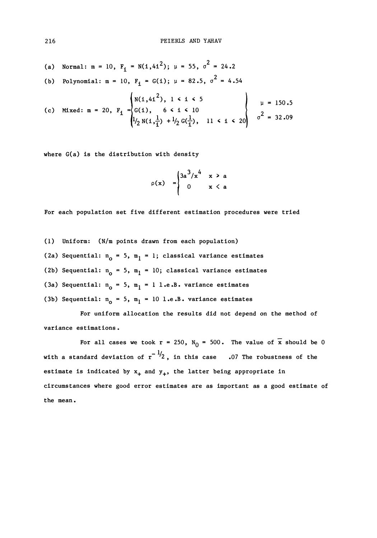(a) Normal: 
$$
m = 10
$$
,  $F_1 = N(1, 41^2)$ ;  $\mu = 55$ ,  $\sigma^2 = 24.2$ 

(b) Polynomial: 
$$
m = 10
$$
,  $F_1 = G(1)$ ;  $\mu = 82.5$ ,  $\sigma^2 = 4.54$ 

(c) Mixed: 
$$
m = 20
$$
,  $F_1 =\begin{cases} N(1,41^2), 1 \le i \le 5 \\ G(1), 6 \le i \le 10 \\ l/2 N(1,\frac{1}{1}) + l/2 G(\frac{1}{1}), 11 \le i \le 20 \end{cases}$   $\begin{cases} \mu = 150.5 \\ \sigma^2 = 32.09 \end{cases}$ 

**where G(a) is the distribution with density**

$$
\rho(x) = \begin{cases} 3a^3/x^4 & x \ge a \\ 0 & x < a \end{cases}
$$

**For each population set five different estimation procedures were tried**

- **(1) Uniform: (N/m points drawn from each population)**
- (2a) Sequential:  $n_0 = 5$ ,  $m_1 = 1$ ; classical variance estimates
- (2b) Sequential:  $n_0 = 5$ ,  $m_1 = 10$ ; classical variance estimates
- (3a) Sequential:  $n_{\text{o}} = 5$ ,  $m_{\text{l}} = 1$  l.e.B. variance estimates
- (3b) Sequential:  $n_0 = 5$ ,  $m_1 = 10$  l.e.B. variance estimates

**For uniform allocation the results did not depend on the method of variance estimations .**

For all cases we took  $r = 250$ ,  $N_0 = 500$ . The value of  $\bar{x}$  should be 0 with a standard deviation of  $r^{-1/2}$ , in this case .07 The robustness of the **estimate is indicated by**  $x_+$  **and**  $y_+$ **, the latter being appropriate in circumstances where good error estimates are as important as a good estimate of the mean.**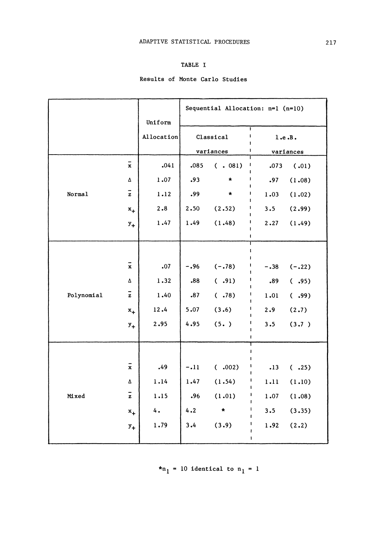## **TABLE I**

# **Results of Monte Carlo Studies**

|            |                    |                     | Sequential Allocation: $n=1$ ( $n=10$ ) |               |                      |          |
|------------|--------------------|---------------------|-----------------------------------------|---------------|----------------------|----------|
|            |                    | Uniform             | ī                                       |               |                      |          |
|            |                    | Allocation          | Classical                               |               | ı<br>l.e.B.          |          |
|            |                    |                     | variances                               |               | ı<br>١<br>variances  |          |
| Normal     | $\bar{\mathbf{x}}$ | .041                | .085                                    | ( . 081)      | ī<br>I<br>.073<br>f, | (.01)    |
|            | Δ                  | 1.07                | .93                                     | *<br>Ï        | J<br>.97             | (1.08)   |
|            | z                  | 1.12                | .99                                     | *             | ı<br>1.03<br>ı       | (1.02)   |
|            | $x_{+}$            | 2.8                 | 2.50                                    | (2.52)<br>п   | 3.5<br>1             | (2.99)   |
|            | $y_+$              | 1.47                | 1.49                                    | (1.48)        | ı<br>2.27<br>ı       | (1.49)   |
|            |                    |                     |                                         |               | ŧ<br>T               |          |
| Polynomial |                    |                     |                                         |               | $\mathbf{I}$         |          |
|            | $\bar{x}$          | ${\tiny \bullet}07$ | $-.96$                                  | $(-.78)$      | I<br>$-.38$<br>1     | $(-.22)$ |
|            | Δ                  | 1.32                | .88                                     | (.91)         | ı<br>.89<br>ı        | (.95)    |
|            | $\bar{z}$          | 1.40                | .87                                     | (.78)         | ł<br>1.01<br>1       | ( .99)   |
|            | $x_{+}$            | 12.4                | 5.07                                    | (3.6)         | ı<br>2.9             | (2.7)    |
|            | $y_{+}$            | 2.95                | 4.95                                    | (5. )         | t<br>3.5             | (3.7)    |
|            |                    |                     |                                         |               | ł                    |          |
| Mixed      |                    |                     |                                         |               | $\mathbf{I}$         |          |
|            | $\bar{x}$          | .49                 | $-.11$                                  | (.002)        | ı<br>.13<br>1        | (.25)    |
|            | Δ                  | 1.14                | 1.47                                    | (1.54)        | ı<br>1.11<br>f       | (1.10)   |
|            | z                  | 1.15                | .96                                     | (1.01)        | ı<br>1.07            | (1.08)   |
|            | $x_{+}$            | 4.                  | 4.2                                     | $\pmb{\star}$ | ı<br>3.5             | (3.35)   |
|            | $y_+$              | 1.79                | 3.4                                     | (3.9)         | 1.92                 | (2.2)    |
|            |                    |                     |                                         |               | Ĭ.                   |          |

 $*n_1 = 10$  identical to  $n_1 = 1$